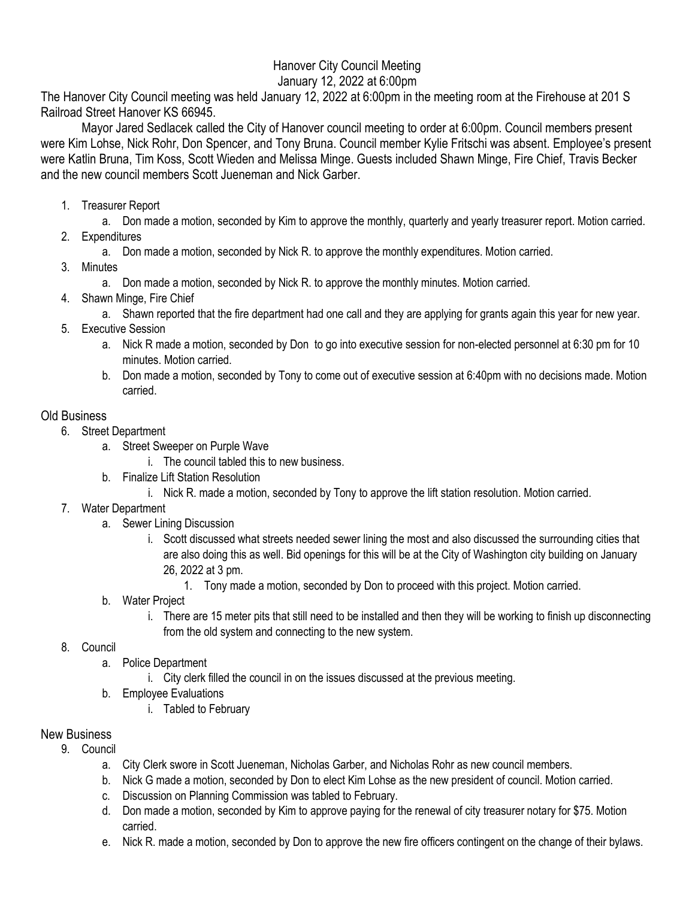## Hanover City Council Meeting January 12, 2022 at 6:00pm

The Hanover City Council meeting was held January 12, 2022 at 6:00pm in the meeting room at the Firehouse at 201 S Railroad Street Hanover KS 66945.

Mayor Jared Sedlacek called the City of Hanover council meeting to order at 6:00pm. Council members present were Kim Lohse, Nick Rohr, Don Spencer, and Tony Bruna. Council member Kylie Fritschi was absent. Employee's present were Katlin Bruna, Tim Koss, Scott Wieden and Melissa Minge. Guests included Shawn Minge, Fire Chief, Travis Becker and the new council members Scott Jueneman and Nick Garber.

1. Treasurer Report

a. Don made a motion, seconded by Kim to approve the monthly, quarterly and yearly treasurer report. Motion carried.

- 2. Expenditures
	- a. Don made a motion, seconded by Nick R. to approve the monthly expenditures. Motion carried.
- 3. Minutes
	- a. Don made a motion, seconded by Nick R. to approve the monthly minutes. Motion carried.
- 4. Shawn Minge, Fire Chief
	- a. Shawn reported that the fire department had one call and they are applying for grants again this year for new year.
- 5. Executive Session
	- a. Nick R made a motion, seconded by Don to go into executive session for non-elected personnel at 6:30 pm for 10 minutes. Motion carried.
	- b. Don made a motion, seconded by Tony to come out of executive session at 6:40pm with no decisions made. Motion carried.

## Old Business

- 6. Street Department
	- a. Street Sweeper on Purple Wave
		- i. The council tabled this to new business.
	- b. Finalize Lift Station Resolution
		- i. Nick R. made a motion, seconded by Tony to approve the lift station resolution. Motion carried.
- 7. Water Department
	- a. Sewer Lining Discussion
		- i. Scott discussed what streets needed sewer lining the most and also discussed the surrounding cities that are also doing this as well. Bid openings for this will be at the City of Washington city building on January 26, 2022 at 3 pm.
			- 1. Tony made a motion, seconded by Don to proceed with this project. Motion carried.
	- b. Water Project
		- i. There are 15 meter pits that still need to be installed and then they will be working to finish up disconnecting from the old system and connecting to the new system.
- 8. Council
	- a. Police Department
		- i. City clerk filled the council in on the issues discussed at the previous meeting.
	- b. Employee Evaluations
		- i. Tabled to February

## New Business

- 9. Council
	- a. City Clerk swore in Scott Jueneman, Nicholas Garber, and Nicholas Rohr as new council members.
	- b. Nick G made a motion, seconded by Don to elect Kim Lohse as the new president of council. Motion carried.
	- c. Discussion on Planning Commission was tabled to February.
	- d. Don made a motion, seconded by Kim to approve paying for the renewal of city treasurer notary for \$75. Motion carried.
	- e. Nick R. made a motion, seconded by Don to approve the new fire officers contingent on the change of their bylaws.